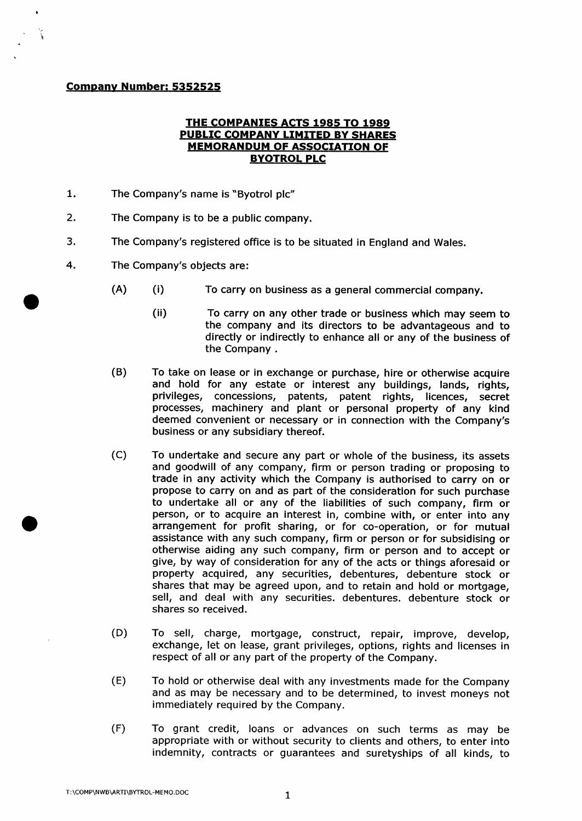## **Company Number: 5352525**

## **THE COMPANIES ACTS 1985 TO 1989 PUBLIC COMPANY LIMITED BY SHARES MEMORANDUM OF ASSOCIATION OF BYOTROL PLC**

- 1. The Company's name is "Byotrol plc"
- $2.$ The Company is to be a public company.
- 3. The Company's registered office is to be situated in England and Wales.
- 4. The Company's objects are:
	- (A) (i) To carry on business as a general commercial company.
		- **(ii)** To carry on any other trade or business which may seem to the company and its directors to be advantageous and to directly or indirectly to enhance all or any of the business of the Company.
	- (B) To take on lease or in exchange or purchase, hire or otherwise acquire and hold for any estate or interest any buildings, lands, rights, privileges, concessions, patents, patent rights, licences, secret processes, machinery and plant or personal property of any kind deemed convenient or necessary or in connection with the Company's business or any subsidiary thereof.
	- (c) To undertake and secure any part or whole of the business, its assets and goodwill of any company, firm or person trading or proposing to trade in any activity which the Company is authorised to carry on or propose to carry on and as part of the consideration for such purchase to undertake all or any of the liabilities of such company, firm or person, or to acquire an interest in, combine with, or enter into any arrangement for profit sharing, or for co-operation, or for mutual assistance with any such company, firm or person or for subsidising or otherwise aiding any such company, firm or person and to accept or give, by way of consideration for any of the acts or things aforesaid or property acquired, any securities, debentures, debenture stock or shares that may be agreed upon, and to retain and hold or mortgage, sell, and deal with any securities, debentures, debenture stock or shares so received.
	- (D) To sell, charge, mortgage, construct, repair, improve, develop, exchange, let on lease, grant privileges, options, rights and licenses in respect of all or any part of the property of the Company.
	- (E) To hold or otherwise deal with any investments made for the Company and as may be necessary and to be determined, to invest moneys not immediately required by the Company.
	- (F) To grant credit, loans or advances on such terms as may be appropriate with or without security to clients and others, to enter into indemnity, contracts or guarantees and suretyships of all kinds, to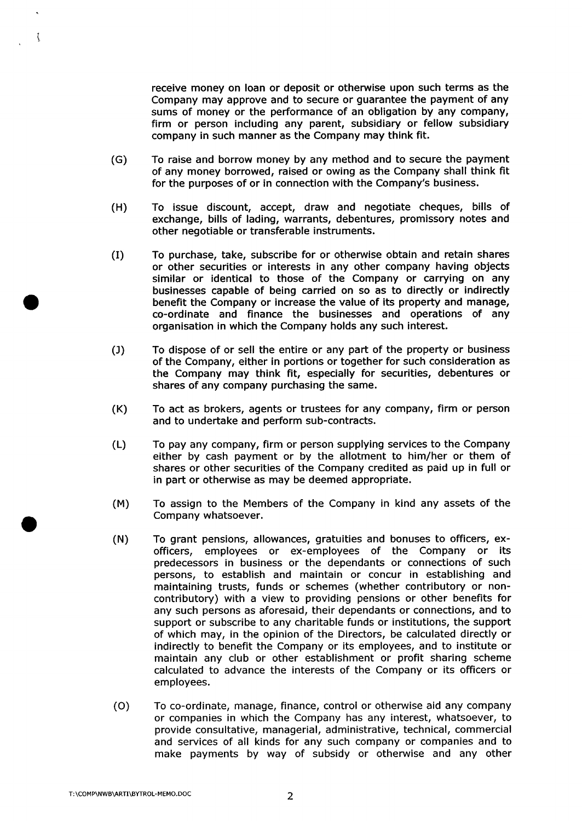receive money on loan or deposit or otherwise upon such terms as the Company may approve and to secure or guarantee the payment of any sums of money or the performance of an obligation by any company, firm or person including any parent, subsidiary or fellow subsidiary company in such manner as the Company may think fit.

- **CG)** To raise and borrow money by any method and to secure the payment of any money borrowed, raised or owing as the Company shall think fit for the purposes of or in connection with the Company's business.
- (H) To issue discount, accept, draw and negotiate cheques, bills of exchange, bills of lading, warrants, debentures, promissory notes and other negotiable or transferable instruments.
- (I) To purchase, take, subscribe for or otherwise obtain and retain shares or other securities or interests in any other company having objects similar or identical to those of the Company or carrying on any businesses capable of being carried on so as to directly or indirectly benefit the Company or increase the value of its property and manage, co-ordinate and finance the businesses and operations of any organisation in which the Company holds any such interest.
- $(1)$ To dispose of or sell the entire or any part of the property or business of the Company, either in portions or together for such consideration as the Company may think fit, especially for securities, debentures or shares of any company purchasing the same.
- (K) To act as brokers, agents or trustees for any company, firm or person and to undertake and perform sub-contracts.
- (L) To pay any company, firm or person supplying services to the Company either by cash payment or by the allotment to him/her or them of shares or other securities of the Company credited as paid up in full or in part or otherwise as may be deemed appropriate.
- **(M)** To assign to the Members of the Company in kind any assets of the Company whatsoever.
- (N) To grant pensions, allowances, gratuities and bonuses to officers, exofficers, employees or ex-employees of the Company or its predecessors in business or the dependants or connections of such persons, to establish and maintain or concur in establishing and maintaining trusts, funds or schemes (whether contributory or noncontributory) with a view to providing pensions or other benefits for any such persons as aforesaid, their dependants or connections, and to support or subscribe to any charitable funds or institutions, the support of which may, in the opinion of the Directors, be calculated directly or indirectly to benefit the Company or its employees, and to institute or maintain any club or other establishment or profit sharing scheme calculated to advance the interests of the Company or its officers or employees.
- (o) To co-ordinate, manage, finance, control or otherwise aid any company or companies in which the Company has any interest, whatsoever, to provide consultative, managerial, administrative, technical, commercial and services of all kinds for any such company or companies and to make payments by way of subsidy or otherwise and any other

Ĵ